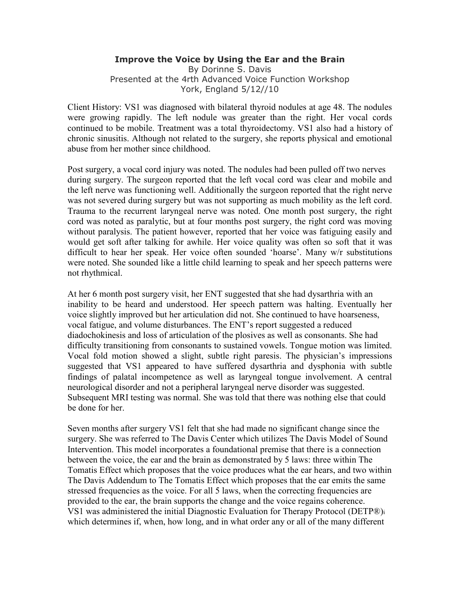## **Improve the Voice by Using the Ear and the Brain**  By Dorinne S. Davis Presented at the 4rth Advanced Voice Function Workshop York, England 5/12//10

Client History: VS1 was diagnosed with bilateral thyroid nodules at age 48. The nodules were growing rapidly. The left nodule was greater than the right. Her vocal cords continued to be mobile. Treatment was a total thyroidectomy. VS1 also had a history of chronic sinusitis. Although not related to the surgery, she reports physical and emotional abuse from her mother since childhood.

Post surgery, a vocal cord injury was noted. The nodules had been pulled off two nerves during surgery. The surgeon reported that the left vocal cord was clear and mobile and the left nerve was functioning well. Additionally the surgeon reported that the right nerve was not severed during surgery but was not supporting as much mobility as the left cord. Trauma to the recurrent laryngeal nerve was noted. One month post surgery, the right cord was noted as paralytic, but at four months post surgery, the right cord was moving without paralysis. The patient however, reported that her voice was fatiguing easily and would get soft after talking for awhile. Her voice quality was often so soft that it was difficult to hear her speak. Her voice often sounded 'hoarse'. Many w/r substitutions were noted. She sounded like a little child learning to speak and her speech patterns were not rhythmical.

At her 6 month post surgery visit, her ENT suggested that she had dysarthria with an inability to be heard and understood. Her speech pattern was halting. Eventually her voice slightly improved but her articulation did not. She continued to have hoarseness, vocal fatigue, and volume disturbances. The ENT's report suggested a reduced diadochokinesis and loss of articulation of the plosives as well as consonants. She had difficulty transitioning from consonants to sustained vowels. Tongue motion was limited. Vocal fold motion showed a slight, subtle right paresis. The physician's impressions suggested that VS1 appeared to have suffered dysarthria and dysphonia with subtle findings of palatal incompetence as well as laryngeal tongue involvement. A central neurological disorder and not a peripheral laryngeal nerve disorder was suggested. Subsequent MRI testing was normal. She was told that there was nothing else that could be done for her.

Seven months after surgery VS1 felt that she had made no significant change since the surgery. She was referred to The Davis Center which utilizes The Davis Model of Sound Intervention. This model incorporates a foundational premise that there is a connection between the voice, the ear and the brain as demonstrated by 5 laws: three within The Tomatis Effect which proposes that the voice produces what the ear hears, and two within The Davis Addendum to The Tomatis Effect which proposes that the ear emits the same stressed frequencies as the voice. For all 5 laws, when the correcting frequencies are provided to the ear, the brain supports the change and the voice regains coherence. VS1 was administered the initial Diagnostic Evaluation for Therapy Protocol (DETP®)<sup>i</sup> which determines if, when, how long, and in what order any or all of the many different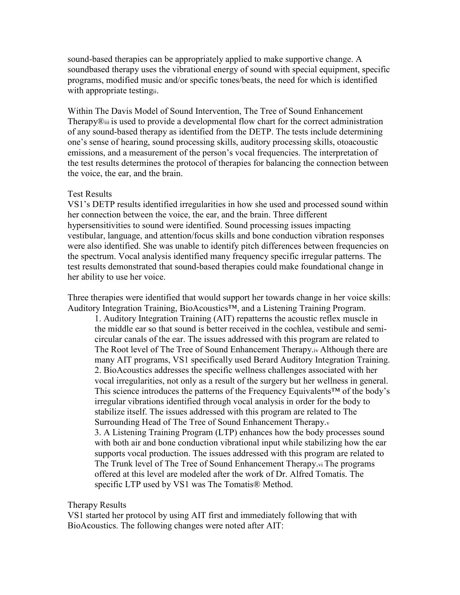sound-based therapies can be appropriately applied to make supportive change. A soundbased therapy uses the vibrational energy of sound with special equipment, specific programs, modified music and/or specific tones/beats, the need for which is identified with appropriate testingii.

Within The Davis Model of Sound Intervention, The Tree of Sound Enhancement Therapy®iii is used to provide a developmental flow chart for the correct administration of any sound-based therapy as identified from the DETP. The tests include determining one's sense of hearing, sound processing skills, auditory processing skills, otoacoustic emissions, and a measurement of the person's vocal frequencies. The interpretation of the test results determines the protocol of therapies for balancing the connection between the voice, the ear, and the brain.

## Test Results

VS1's DETP results identified irregularities in how she used and processed sound within her connection between the voice, the ear, and the brain. Three different hypersensitivities to sound were identified. Sound processing issues impacting vestibular, language, and attention/focus skills and bone conduction vibration responses were also identified. She was unable to identify pitch differences between frequencies on the spectrum. Vocal analysis identified many frequency specific irregular patterns. The test results demonstrated that sound-based therapies could make foundational change in her ability to use her voice.

Three therapies were identified that would support her towards change in her voice skills: Auditory Integration Training, BioAcoustics™, and a Listening Training Program.

1. Auditory Integration Training (AIT) repatterns the acoustic reflex muscle in the middle ear so that sound is better received in the cochlea, vestibule and semicircular canals of the ear. The issues addressed with this program are related to The Root level of The Tree of Sound Enhancement Therapy.iv Although there are many AIT programs, VS1 specifically used Berard Auditory Integration Training. 2. BioAcoustics addresses the specific wellness challenges associated with her vocal irregularities, not only as a result of the surgery but her wellness in general. This science introduces the patterns of the Frequency Equivalents™ of the body's irregular vibrations identified through vocal analysis in order for the body to stabilize itself. The issues addressed with this program are related to The Surrounding Head of The Tree of Sound Enhancement Therapy.<sup>v</sup> 3. A Listening Training Program (LTP) enhances how the body processes sound with both air and bone conduction vibrational input while stabilizing how the ear supports vocal production. The issues addressed with this program are related to The Trunk level of The Tree of Sound Enhancement Therapy.vi The programs offered at this level are modeled after the work of Dr. Alfred Tomatis. The specific LTP used by VS1 was The Tomatis® Method.

## Therapy Results

VS1 started her protocol by using AIT first and immediately following that with BioAcoustics. The following changes were noted after AIT: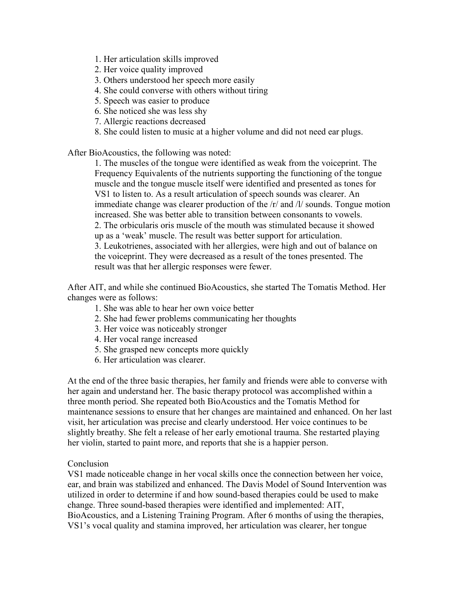- 1. Her articulation skills improved
- 2. Her voice quality improved
- 3. Others understood her speech more easily
- 4. She could converse with others without tiring
- 5. Speech was easier to produce
- 6. She noticed she was less shy
- 7. Allergic reactions decreased
- 8. She could listen to music at a higher volume and did not need ear plugs.

After BioAcoustics, the following was noted:

1. The muscles of the tongue were identified as weak from the voiceprint. The Frequency Equivalents of the nutrients supporting the functioning of the tongue muscle and the tongue muscle itself were identified and presented as tones for VS1 to listen to. As a result articulation of speech sounds was clearer. An immediate change was clearer production of the /r/ and /l/ sounds. Tongue motion increased. She was better able to transition between consonants to vowels. 2. The orbicularis oris muscle of the mouth was stimulated because it showed up as a 'weak' muscle. The result was better support for articulation. 3. Leukotrienes, associated with her allergies, were high and out of balance on the voiceprint. They were decreased as a result of the tones presented. The result was that her allergic responses were fewer.

After AIT, and while she continued BioAcoustics, she started The Tomatis Method. Her changes were as follows:

- 1. She was able to hear her own voice better
- 2. She had fewer problems communicating her thoughts
- 3. Her voice was noticeably stronger
- 4. Her vocal range increased
- 5. She grasped new concepts more quickly
- 6. Her articulation was clearer.

At the end of the three basic therapies, her family and friends were able to converse with her again and understand her. The basic therapy protocol was accomplished within a three month period. She repeated both BioAcoustics and the Tomatis Method for maintenance sessions to ensure that her changes are maintained and enhanced. On her last visit, her articulation was precise and clearly understood. Her voice continues to be slightly breathy. She felt a release of her early emotional trauma. She restarted playing her violin, started to paint more, and reports that she is a happier person.

## Conclusion

VS1 made noticeable change in her vocal skills once the connection between her voice, ear, and brain was stabilized and enhanced. The Davis Model of Sound Intervention was utilized in order to determine if and how sound-based therapies could be used to make change. Three sound-based therapies were identified and implemented: AIT, BioAcoustics, and a Listening Training Program. After 6 months of using the therapies, VS1's vocal quality and stamina improved, her articulation was clearer, her tongue